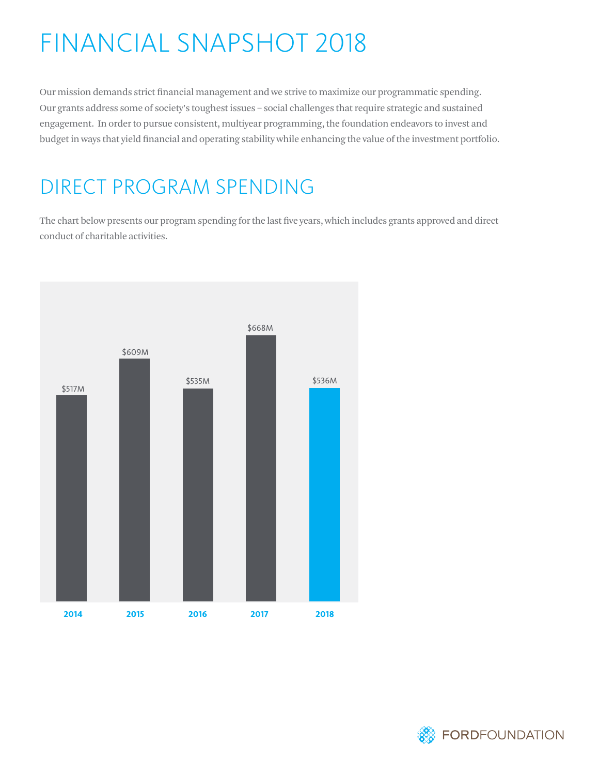# FINANCIAL SNAPSHOT 2018

Our mission demands strict financial management and we strive to maximize our programmatic spending. Our grants address some of society's toughest issues – social challenges that require strategic and sustained engagement. In order to pursue consistent, multiyear programming, the foundation endeavors to invest and budget in ways that yield financial and operating stability while enhancing the value of the investment portfolio.

#### DIRECT PROGRAM SPENDING

The chart below presents our program spending for the last five years, which includes grants approved and direct conduct of charitable activities.



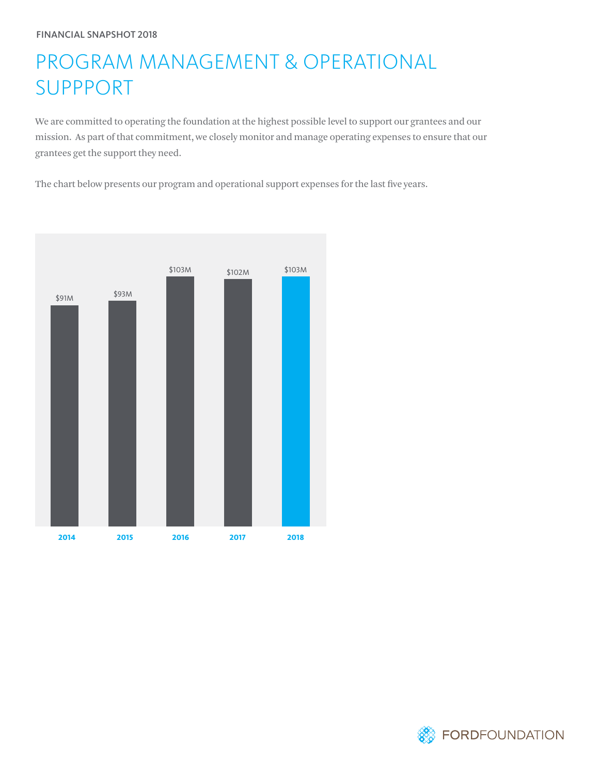## PROGRAM MANAGEMENT & OPERATIONAL SUPPPORT

We are committed to operating the foundation at the highest possible level to support our grantees and our mission. As part of that commitment, we closely monitor and manage operating expenses to ensure that our grantees get the support they need.

The chart below presents our program and operational support expenses for the last five years.



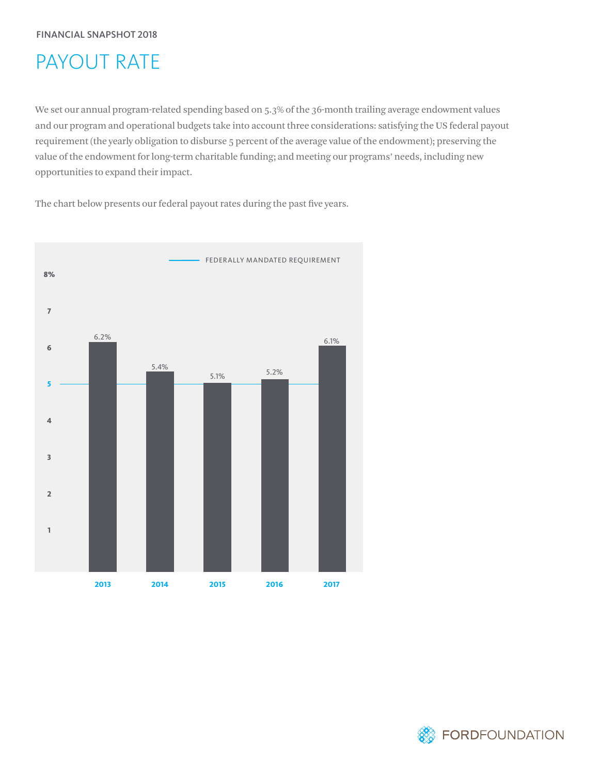## PAYOUT RATE

We set our annual program-related spending based on 5.3% of the 36-month trailing average endowment values and our program and operational budgets take into account three considerations: satisfying the US federal payout requirement (the yearly obligation to disburse 5 percent of the average value of the endowment); preserving the value of the endowment for long-term charitable funding; and meeting our programs' needs, including new opportunities to expand their impact.

The chart below presents our federal payout rates during the past five years.



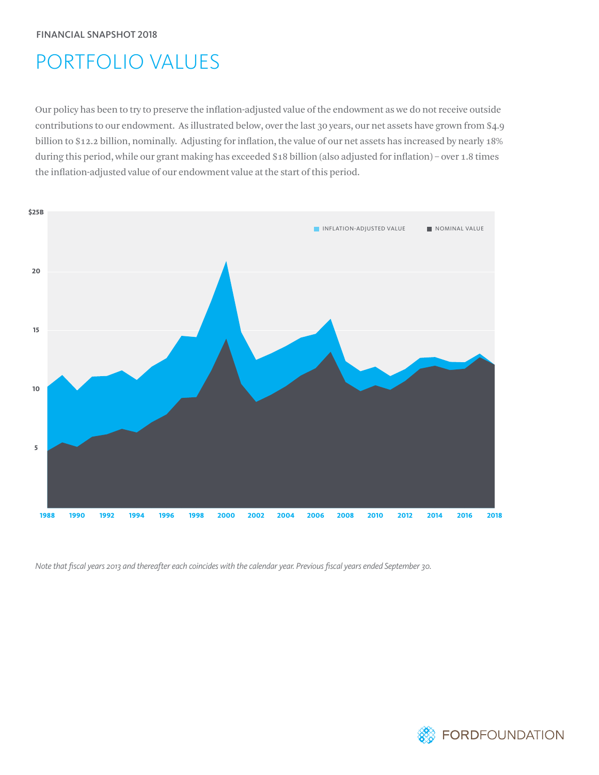# PORTFOLIO VALUES

Our policy has been to try to preserve the inflation-adjusted value of the endowment as we do not receive outside contributions to our endowment. As illustrated below, over the last 30 years, our net assets have grown from \$4.9 billion to \$12.2 billion, nominally. Adjusting for inflation, the value of our net assets has increased by nearly 18% during this period, while our grant making has exceeded \$18 billion (also adjusted for inflation) – over 1.8 times the inflation-adjusted value of our endowment value at the start of this period.



*Note that fiscal years 2013 and thereafter each coincides with the calendar year. Previous fiscal years ended September 30.*

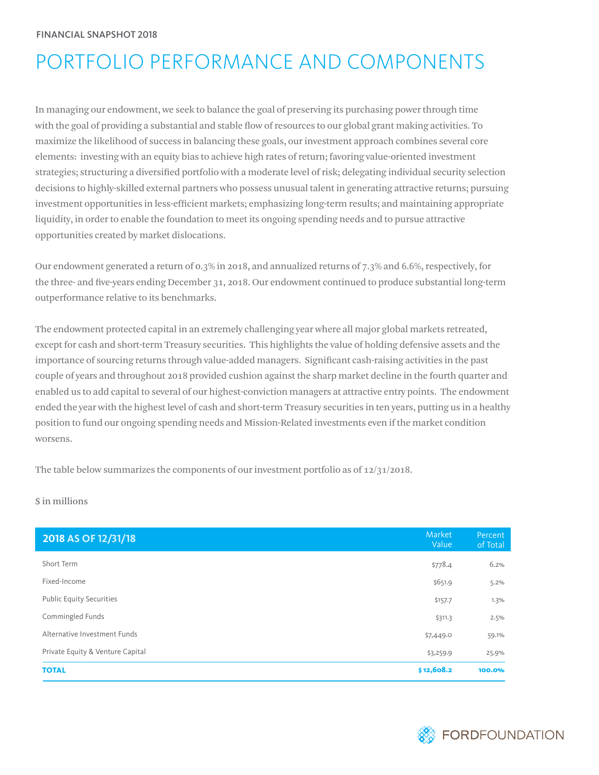# PORTFOLIO PERFORMANCE AND COMPONENTS

In managing our endowment, we seek to balance the goal of preserving its purchasing power through time with the goal of providing a substantial and stable flow of resources to our global grant making activities. To maximize the likelihood of success in balancing these goals, our investment approach combines several core elements: investing with an equity bias to achieve high rates of return; favoring value-oriented investment strategies; structuring a diversified portfolio with a moderate level of risk; delegating individual security selection decisions to highly-skilled external partners who possess unusual talent in generating attractive returns; pursuing investment opportunities in less-efficient markets; emphasizing long-term results; and maintaining appropriate liquidity, in order to enable the foundation to meet its ongoing spending needs and to pursue attractive opportunities created by market dislocations.

Our endowment generated a return of 0.3% in 2018, and annualized returns of 7.3% and 6.6%, respectively, for the three- and five-years ending December 31, 2018. Our endowment continued to produce substantial long-term outperformance relative to its benchmarks.

The endowment protected capital in an extremely challenging year where all major global markets retreated, except for cash and short-term Treasury securities. This highlights the value of holding defensive assets and the importance of sourcing returns through value-added managers. Significant cash-raising activities in the past couple of years and throughout 2018 provided cushion against the sharp market decline in the fourth quarter and enabled us to add capital to several of our highest-conviction managers at attractive entry points. The endowment ended the year with the highest level of cash and short-term Treasury securities in ten years, putting us in a healthy position to fund our ongoing spending needs and Mission-Related investments even if the market condition worsens.

The table below summarizes the components of our investment portfolio as of  $12/31/2018$ .

\$ in millions

| 2018 AS OF 12/31/18              | Market<br>Value | Percent<br>of Total |
|----------------------------------|-----------------|---------------------|
| Short Term                       | \$778.4         | 6.2%                |
| Fixed-Income                     | \$651.9         | 5.2%                |
| <b>Public Equity Securities</b>  | \$157.7         | 1.3%                |
| Commingled Funds                 | \$311.3         | 2.5%                |
| Alternative Investment Funds     | \$7,449.0       | 59.1%               |
| Private Equity & Venture Capital | \$3,259.9       | 25.9%               |
| <b>TOTAL</b>                     | \$12,608.2      | 100.0%              |